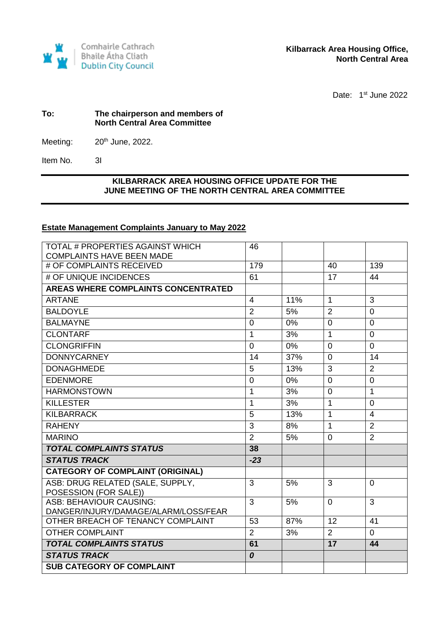

Date: 1<sup>st</sup> June 2022

#### **To: The chairperson and members of North Central Area Committee**

Meeting:  $20<sup>th</sup>$  June, 2022.

Item No. 3I

## **KILBARRACK AREA HOUSING OFFICE UPDATE FOR THE JUNE MEETING OF THE NORTH CENTRAL AREA COMMITTEE**

### **Estate Management Complaints January to May 2022**

| TOTAL # PROPERTIES AGAINST WHICH                             | 46                   |       |                 |                |
|--------------------------------------------------------------|----------------------|-------|-----------------|----------------|
| <b>COMPLAINTS HAVE BEEN MADE</b><br># OF COMPLAINTS RECEIVED | 179                  |       | 40              | 139            |
|                                                              |                      |       |                 |                |
| # OF UNIQUE INCIDENCES                                       | 61                   |       | 17              | 44             |
| <b>AREAS WHERE COMPLAINTS CONCENTRATED</b>                   |                      |       |                 |                |
| <b>ARTANE</b>                                                | 4                    | 11%   | $\mathbf{1}$    | 3              |
| <b>BALDOYLE</b>                                              | $\overline{2}$       | 5%    | $\overline{2}$  | $\overline{0}$ |
| <b>BALMAYNE</b>                                              | $\mathbf 0$          | 0%    | $\overline{0}$  | $\overline{0}$ |
| <b>CLONTARF</b>                                              | 1                    | 3%    | $\mathbf{1}$    | $\Omega$       |
| <b>CLONGRIFFIN</b>                                           | $\Omega$             | $0\%$ | $\Omega$        | $\Omega$       |
| <b>DONNYCARNEY</b>                                           | 14                   | 37%   | $\overline{0}$  | 14             |
| <b>DONAGHMEDE</b>                                            | 5                    | 13%   | 3               | $\overline{2}$ |
| <b>EDENMORE</b>                                              | $\mathbf 0$          | $0\%$ | $\overline{0}$  | $\overline{0}$ |
| <b>HARMONSTOWN</b>                                           | $\mathbf{1}$         | 3%    | $\overline{0}$  | $\overline{1}$ |
| <b>KILLESTER</b>                                             | 1                    | 3%    | $\mathbf{1}$    | $\overline{0}$ |
| <b>KILBARRACK</b>                                            | 5                    | 13%   | $\mathbf{1}$    | $\overline{4}$ |
| <b>RAHENY</b>                                                | 3                    | 8%    | $\mathbf{1}$    | $\overline{2}$ |
| <b>MARINO</b>                                                | $\overline{2}$       | 5%    | $\mathbf 0$     | $\overline{2}$ |
| <b>TOTAL COMPLAINTS STATUS</b>                               | 38                   |       |                 |                |
| <b>STATUS TRACK</b>                                          | $-23$                |       |                 |                |
| <b>CATEGORY OF COMPLAINT (ORIGINAL)</b>                      |                      |       |                 |                |
| ASB: DRUG RELATED (SALE, SUPPLY,                             | 3                    | 5%    | 3               | $\Omega$       |
| POSESSION (FOR SALE))<br><b>ASB: BEHAVIOUR CAUSING:</b>      |                      |       |                 |                |
| DANGER/INJURY/DAMAGE/ALARM/LOSS/FEAR                         | 3                    | 5%    | $\Omega$        | 3              |
| OTHER BREACH OF TENANCY COMPLAINT                            | 53                   | 87%   | 12              | 41             |
| <b>OTHER COMPLAINT</b>                                       |                      | 3%    | 2               | $\mathbf 0$    |
| <b>TOTAL COMPLAINTS STATUS</b>                               | $\overline{2}$<br>61 |       | $\overline{17}$ | 44             |
| <b>STATUS TRACK</b>                                          | 0                    |       |                 |                |
| <b>SUB CATEGORY OF COMPLAINT</b>                             |                      |       |                 |                |
|                                                              |                      |       |                 |                |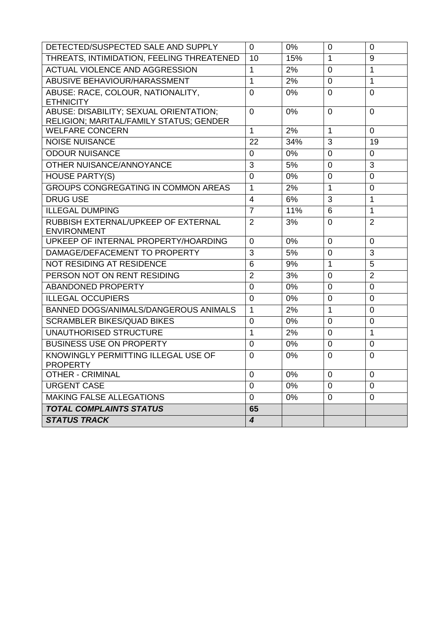| DETECTED/SUSPECTED SALE AND SUPPLY                                                | $\Omega$                | 0%    | $\overline{0}$ | $\mathbf 0$    |
|-----------------------------------------------------------------------------------|-------------------------|-------|----------------|----------------|
| THREATS, INTIMIDATION, FEELING THREATENED                                         | 10                      | 15%   | $\mathbf 1$    | 9              |
| <b>ACTUAL VIOLENCE AND AGGRESSION</b>                                             |                         | 2%    | $\overline{0}$ | 1              |
| ABUSIVE BEHAVIOUR/HARASSMENT                                                      | $\mathbf{1}$            | 2%    | $\overline{0}$ | 1              |
| ABUSE: RACE, COLOUR, NATIONALITY,                                                 | $\overline{0}$          | 0%    | $\overline{0}$ | $\overline{0}$ |
| <b>ETHNICITY</b>                                                                  |                         |       |                |                |
| ABUSE: DISABILITY; SEXUAL ORIENTATION;<br>RELIGION; MARITAL/FAMILY STATUS; GENDER | $\overline{0}$          | 0%    | $\Omega$       | $\overline{0}$ |
| <b>WELFARE CONCERN</b>                                                            | $\mathbf{1}$            | 2%    | 1              | $\mathbf 0$    |
| <b>NOISE NUISANCE</b>                                                             | 22                      | 34%   | 3              | 19             |
| <b>ODOUR NUISANCE</b>                                                             | $\overline{0}$          | $0\%$ | $\overline{0}$ | $\overline{0}$ |
| OTHER NUISANCE/ANNOYANCE                                                          | 3                       | 5%    | $\mathbf 0$    | 3              |
| <b>HOUSE PARTY(S)</b>                                                             | 0                       | 0%    | $\mathbf 0$    | $\mathbf 0$    |
| <b>GROUPS CONGREGATING IN COMMON AREAS</b>                                        | $\mathbf{1}$            | 2%    | 1              | $\mathbf 0$    |
| <b>DRUG USE</b>                                                                   | $\overline{4}$          | 6%    | 3              | 1              |
| <b>ILLEGAL DUMPING</b>                                                            | $\overline{7}$          | 11%   | 6              | 1              |
| RUBBISH EXTERNAL/UPKEEP OF EXTERNAL                                               | $\overline{2}$          | 3%    | $\overline{0}$ | $\overline{2}$ |
| <b>ENVIRONMENT</b>                                                                |                         |       |                |                |
| UPKEEP OF INTERNAL PROPERTY/HOARDING                                              | $\Omega$                | 0%    | $\Omega$       | $\mathbf 0$    |
| DAMAGE/DEFACEMENT TO PROPERTY                                                     |                         | 5%    | $\mathbf 0$    | 3              |
| NOT RESIDING AT RESIDENCE                                                         |                         | 9%    | 1              | 5              |
| PERSON NOT ON RENT RESIDING                                                       | $\overline{2}$          | 3%    | $\Omega$       | $\overline{2}$ |
| <b>ABANDONED PROPERTY</b>                                                         | 0                       | $0\%$ | $\mathbf 0$    | $\mathbf 0$    |
| <b>ILLEGAL OCCUPIERS</b>                                                          | $\overline{0}$          | 0%    | 0              | $\mathbf 0$    |
| BANNED DOGS/ANIMALS/DANGEROUS ANIMALS                                             | $\mathbf{1}$            | 2%    | 1              | $\mathbf 0$    |
| <b>SCRAMBLER BIKES/QUAD BIKES</b>                                                 | 0                       | 0%    | $\mathbf 0$    | $\mathbf 0$    |
| <b>UNAUTHORISED STRUCTURE</b>                                                     | $\mathbf{1}$            | 2%    | $\overline{0}$ | 1              |
| <b>BUSINESS USE ON PROPERTY</b>                                                   | $\overline{0}$          | 0%    | $\overline{0}$ | $\overline{0}$ |
| KNOWINGLY PERMITTING ILLEGAL USE OF                                               |                         | 0%    | 0              | 0              |
| <b>PROPERTY</b>                                                                   |                         |       |                |                |
| <b>OTHER - CRIMINAL</b>                                                           | 0<br>$\mathbf 0$        | 0%    | $\mathbf 0$    | $\mathbf 0$    |
| <b>URGENT CASE</b>                                                                |                         | $0\%$ | $\mathbf 0$    | $\mathbf 0$    |
| MAKING FALSE ALLEGATIONS                                                          | $\overline{0}$          | 0%    | $\mathbf 0$    | $\mathbf 0$    |
| <b>TOTAL COMPLAINTS STATUS</b>                                                    | 65                      |       |                |                |
| <b>STATUS TRACK</b>                                                               | $\overline{\mathbf{4}}$ |       |                |                |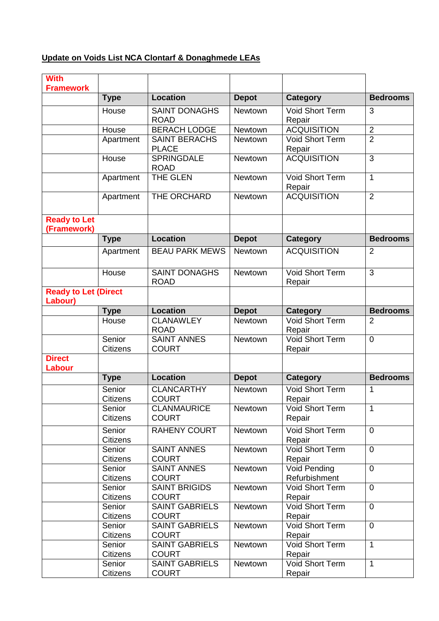# **Update on Voids List NCA Clontarf & Donaghmede LEAs**

| <b>With</b>                            |                           |                                       |                |                                      |                 |
|----------------------------------------|---------------------------|---------------------------------------|----------------|--------------------------------------|-----------------|
| <b>Framework</b>                       | <b>Type</b>               | <b>Location</b>                       | <b>Depot</b>   | Category                             | <b>Bedrooms</b> |
|                                        | House                     | <b>SAINT DONAGHS</b>                  | Newtown        | <b>Void Short Term</b>               | 3               |
|                                        |                           | <b>ROAD</b>                           |                | Repair                               |                 |
|                                        | House                     | <b>BERACH LODGE</b>                   | Newtown        | <b>ACQUISITION</b>                   | $\overline{2}$  |
|                                        | Apartment                 | <b>SAINT BERACHS</b>                  | Newtown        | Void Short Term                      | $\overline{2}$  |
|                                        |                           | <b>PLACE</b>                          |                | Repair                               |                 |
|                                        | House                     | <b>SPRINGDALE</b><br><b>ROAD</b>      | Newtown        | <b>ACQUISITION</b>                   | 3               |
|                                        | Apartment                 | THE GLEN                              | Newtown        | Void Short Term<br>Repair            | 1               |
|                                        | Apartment                 | THE ORCHARD                           | Newtown        | <b>ACQUISITION</b>                   | $\overline{2}$  |
| <b>Ready to Let</b><br>(Framework)     |                           |                                       |                |                                      |                 |
|                                        | <b>Type</b>               | <b>Location</b>                       | <b>Depot</b>   | <b>Category</b>                      | <b>Bedrooms</b> |
|                                        | Apartment                 | <b>BEAU PARK MEWS</b>                 | <b>Newtown</b> | <b>ACQUISITION</b>                   | $\overline{2}$  |
|                                        | House                     | <b>SAINT DONAGHS</b><br><b>ROAD</b>   | Newtown        | <b>Void Short Term</b><br>Repair     | 3               |
| <b>Ready to Let (Direct</b><br>Labour) |                           |                                       |                |                                      |                 |
|                                        | <b>Type</b>               | <b>Location</b>                       | <b>Depot</b>   | <b>Category</b>                      | <b>Bedrooms</b> |
|                                        | House                     | <b>CLANAWLEY</b>                      | Newtown        | <b>Void Short Term</b>               | 2               |
|                                        | Senior                    | <b>ROAD</b><br><b>SAINT ANNES</b>     | Newtown        | Repair<br>Void Short Term            | $\overline{0}$  |
|                                        | <b>Citizens</b>           | <b>COURT</b>                          |                | Repair                               |                 |
| <b>Direct</b>                          |                           |                                       |                |                                      |                 |
| <b>Labour</b>                          |                           |                                       |                |                                      |                 |
|                                        | <b>Type</b>               | <b>Location</b>                       | <b>Depot</b>   | <b>Category</b>                      | <b>Bedrooms</b> |
|                                        | Senior<br>Citizens        | <b>CLANCARTHY</b><br><b>COURT</b>     | Newtown        | Void Short Term<br>Repair            | 1               |
|                                        | Senior<br><b>Citizens</b> | <b>CLANMAURICE</b><br><b>COURT</b>    | Newtown        | Void Short Term<br>Repair            | 1               |
|                                        | Senior<br><b>Citizens</b> | <b>RAHENY COURT</b>                   | Newtown        | Void Short Term<br>Repair            | $\overline{0}$  |
|                                        | Senior<br><b>Citizens</b> | <b>SAINT ANNES</b><br><b>COURT</b>    | Newtown        | Void Short Term<br>Repair            | $\overline{0}$  |
|                                        | Senior<br><b>Citizens</b> | <b>SAINT ANNES</b><br><b>COURT</b>    | Newtown        | <b>Void Pending</b><br>Refurbishment | $\mathbf 0$     |
|                                        | Senior                    | <b>SAINT BRIGIDS</b>                  | Newtown        | Void Short Term                      | $\overline{0}$  |
|                                        | Citizens                  | <b>COURT</b>                          |                | Repair                               |                 |
|                                        | Senior                    | <b>SAINT GABRIELS</b>                 | Newtown        | Void Short Term                      | $\overline{0}$  |
|                                        | <b>Citizens</b>           | <b>COURT</b>                          |                | Repair                               |                 |
|                                        | Senior<br><b>Citizens</b> | <b>SAINT GABRIELS</b><br><b>COURT</b> | Newtown        | Void Short Term<br>Repair            | $\overline{0}$  |
|                                        | Senior                    | <b>SAINT GABRIELS</b>                 | Newtown        | Void Short Term                      | $\mathbf{1}$    |
|                                        | Citizens                  | <b>COURT</b>                          |                | Repair                               |                 |
|                                        | Senior                    | <b>SAINT GABRIELS</b>                 | Newtown        | Void Short Term                      | 1               |
|                                        | Citizens                  | <b>COURT</b>                          |                | Repair                               |                 |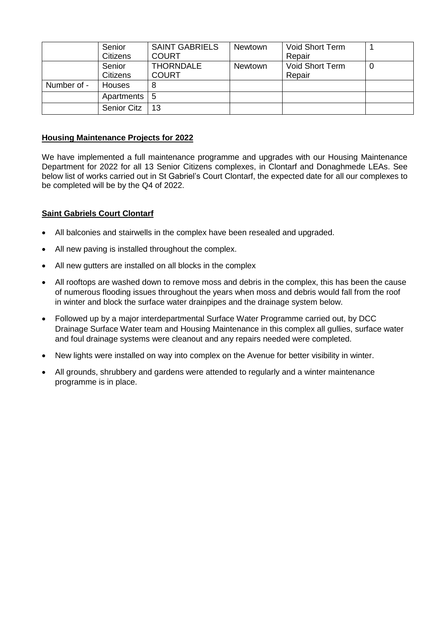|             | Senior             | <b>SAINT GABRIELS</b> | Newtown        | Void Short Term |   |
|-------------|--------------------|-----------------------|----------------|-----------------|---|
|             | <b>Citizens</b>    | <b>COURT</b>          |                | Repair          |   |
|             | Senior             | <b>THORNDALE</b>      | <b>Newtown</b> | Void Short Term | 0 |
|             | <b>Citizens</b>    | <b>COURT</b>          |                | Repair          |   |
| Number of - | <b>Houses</b>      | 8                     |                |                 |   |
|             | Apartments   5     |                       |                |                 |   |
|             | <b>Senior Citz</b> | 13                    |                |                 |   |

### **Housing Maintenance Projects for 2022**

We have implemented a full maintenance programme and upgrades with our Housing Maintenance Department for 2022 for all 13 Senior Citizens complexes, in Clontarf and Donaghmede LEAs. See below list of works carried out in St Gabriel's Court Clontarf, the expected date for all our complexes to be completed will be by the Q4 of 2022.

### **Saint Gabriels Court Clontarf**

- All balconies and stairwells in the complex have been resealed and upgraded.
- All new paving is installed throughout the complex.
- All new gutters are installed on all blocks in the complex
- All rooftops are washed down to remove moss and debris in the complex, this has been the cause of numerous flooding issues throughout the years when moss and debris would fall from the roof in winter and block the surface water drainpipes and the drainage system below.
- Followed up by a major interdepartmental Surface Water Programme carried out, by DCC Drainage Surface Water team and Housing Maintenance in this complex all gullies, surface water and foul drainage systems were cleanout and any repairs needed were completed.
- New lights were installed on way into complex on the Avenue for better visibility in winter.
- All grounds, shrubbery and gardens were attended to regularly and a winter maintenance programme is in place.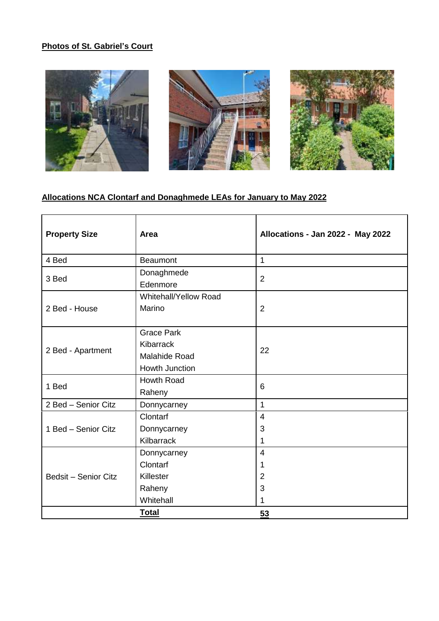# **Photos of St. Gabriel's Court**







## **Allocations NCA Clontarf and Donaghmede LEAs for January to May 2022**

| <b>Property Size</b>        | Area                                                                     | Allocations - Jan 2022 - May 2022  |
|-----------------------------|--------------------------------------------------------------------------|------------------------------------|
| 4 Bed                       | <b>Beaumont</b>                                                          | $\mathbf{1}$                       |
| 3 Bed                       | Donaghmede<br>Edenmore                                                   | 2                                  |
| 2 Bed - House               | Whitehall/Yellow Road<br>Marino                                          | 2                                  |
| 2 Bed - Apartment           | <b>Grace Park</b><br>Kibarrack<br><b>Malahide Road</b><br>Howth Junction | 22                                 |
| 1 Bed                       | Howth Road<br>Raheny                                                     | 6                                  |
| 2 Bed - Senior Citz         | Donnycarney                                                              | $\mathbf{1}$                       |
| 1 Bed - Senior Citz         | <b>Clontarf</b><br>Donnycarney<br>Kilbarrack                             | $\overline{4}$<br>3<br>1           |
| <b>Bedsit - Senior Citz</b> | Donnycarney<br>Clontarf<br>Killester<br>Raheny<br>Whitehall              | $\overline{4}$<br>1<br>2<br>3<br>1 |
|                             | <b>Total</b>                                                             | 53                                 |